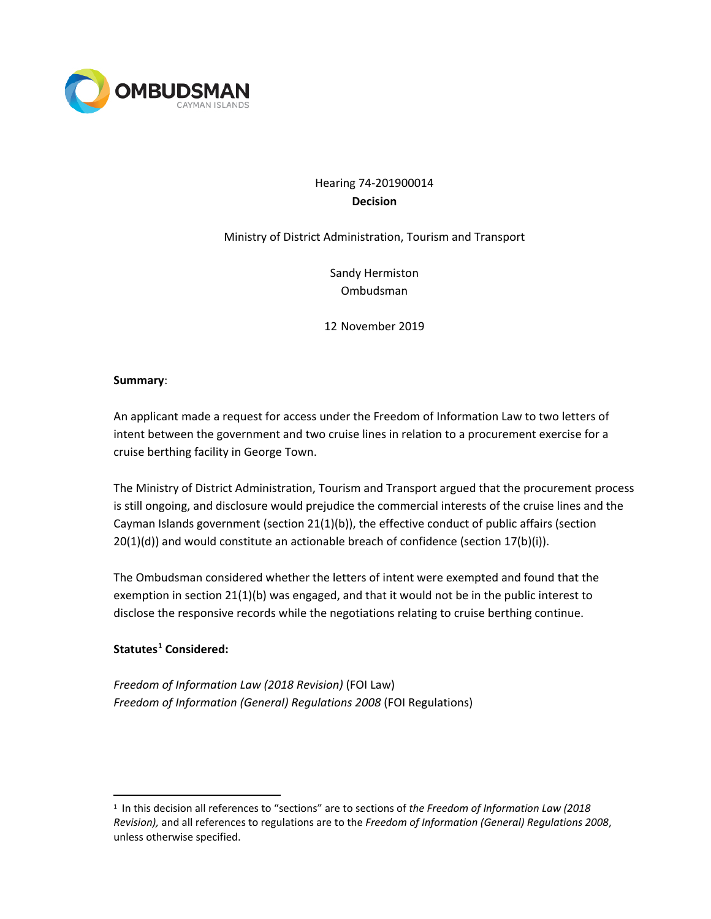

# Hearing 74-201900014 **Decision**

Ministry of District Administration, Tourism and Transport

Sandy Hermiston Ombudsman

12 November 2019

### **Summary**:

An applicant made a request for access under the Freedom of Information Law to two letters of intent between the government and two cruise lines in relation to a procurement exercise for a cruise berthing facility in George Town.

The Ministry of District Administration, Tourism and Transport argued that the procurement process is still ongoing, and disclosure would prejudice the commercial interests of the cruise lines and the Cayman Islands government (section 21(1)(b)), the effective conduct of public affairs (section  $20(1)(d)$ ) and would constitute an actionable breach of confidence (section  $17(b)(i)$ ).

The Ombudsman considered whether the letters of intent were exempted and found that the exemption in section 21(1)(b) was engaged, and that it would not be in the public interest to disclose the responsive records while the negotiations relating to cruise berthing continue.

## **Statutes[1](#page-0-0) Considered:**

*Freedom of Information Law (2018 Revision)* (FOI Law) *Freedom of Information (General) Regulations 2008* (FOI Regulations)

<span id="page-0-0"></span> <sup>1</sup> In this decision all references to "sections" are to sections of *the Freedom of Information Law (2018 Revision),* and all references to regulations are to the *Freedom of Information (General) Regulations 2008*, unless otherwise specified.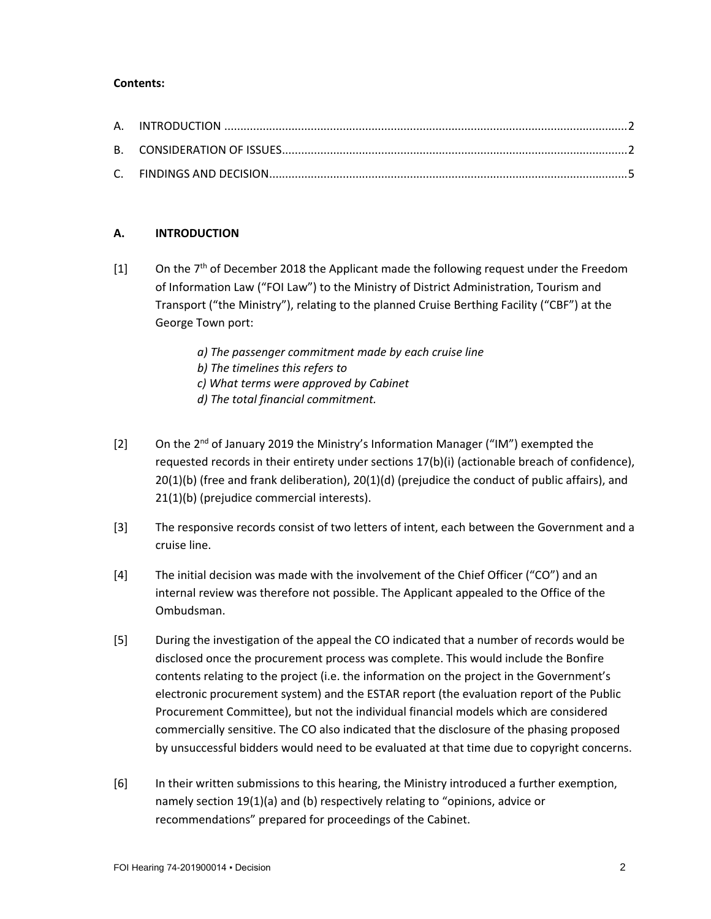### **Contents:**

## **A. INTRODUCTION**

- $[1]$  On the 7<sup>th</sup> of December 2018 the Applicant made the following request under the Freedom of Information Law ("FOI Law") to the Ministry of District Administration, Tourism and Transport ("the Ministry"), relating to the planned Cruise Berthing Facility ("CBF") at the George Town port:
	- *a) The passenger commitment made by each cruise line*
	- *b) The timelines this refers to*
	- *c) What terms were approved by Cabinet*
	- *d) The total financial commitment.*
- [2] On the  $2<sup>nd</sup>$  of January 2019 the Ministry's Information Manager ("IM") exempted the requested records in their entirety under sections 17(b)(i) (actionable breach of confidence), 20(1)(b) (free and frank deliberation), 20(1)(d) (prejudice the conduct of public affairs), and 21(1)(b) (prejudice commercial interests).
- [3] The responsive records consist of two letters of intent, each between the Government and a cruise line.
- [4] The initial decision was made with the involvement of the Chief Officer ("CO") and an internal review was therefore not possible. The Applicant appealed to the Office of the Ombudsman.
- [5] During the investigation of the appeal the CO indicated that a number of records would be disclosed once the procurement process was complete. This would include the Bonfire contents relating to the project (i.e. the information on the project in the Government's electronic procurement system) and the ESTAR report (the evaluation report of the Public Procurement Committee), but not the individual financial models which are considered commercially sensitive. The CO also indicated that the disclosure of the phasing proposed by unsuccessful bidders would need to be evaluated at that time due to copyright concerns.
- [6] In their written submissions to this hearing, the Ministry introduced a further exemption, namely section 19(1)(a) and (b) respectively relating to "opinions, advice or recommendations" prepared for proceedings of the Cabinet.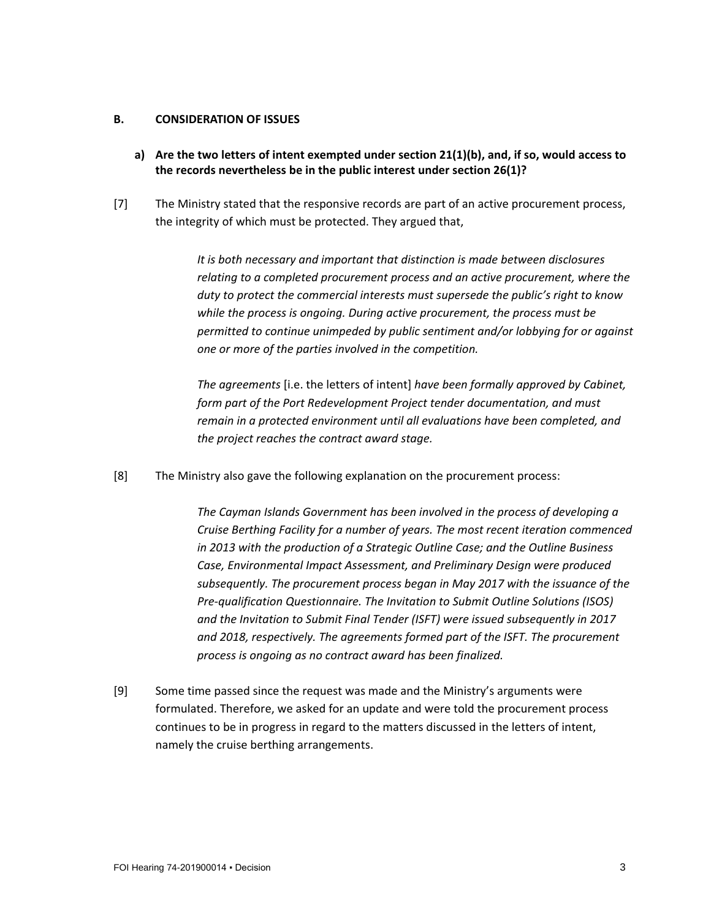#### **B. CONSIDERATION OF ISSUES**

- **a) Are the two letters of intent exempted under section 21(1)(b), and, if so, would access to the records nevertheless be in the public interest under section 26(1)?**
- [7] The Ministry stated that the responsive records are part of an active procurement process, the integrity of which must be protected. They argued that,

*It is both necessary and important that distinction is made between disclosures relating to a completed procurement process and an active procurement, where the duty to protect the commercial interests must supersede the public's right to know while the process is ongoing. During active procurement, the process must be permitted to continue unimpeded by public sentiment and/or lobbying for or against one or more of the parties involved in the competition.*

*The agreements* [i.e. the letters of intent] *have been formally approved by Cabinet, form part of the Port Redevelopment Project tender documentation, and must remain in a protected environment until all evaluations have been completed, and the project reaches the contract award stage.*

[8] The Ministry also gave the following explanation on the procurement process:

*The Cayman Islands Government has been involved in the process of developing a Cruise Berthing Facility for a number of years. The most recent iteration commenced in 2013 with the production of a Strategic Outline Case; and the Outline Business Case, Environmental Impact Assessment, and Preliminary Design were produced subsequently. The procurement process began in May 2017 with the issuance of the Pre-qualification Questionnaire. The Invitation to Submit Outline Solutions (ISOS) and the Invitation to Submit Final Tender (ISFT) were issued subsequently in 2017 and 2018, respectively. The agreements formed part of the ISFT. The procurement process is ongoing as no contract award has been finalized.*

[9] Some time passed since the request was made and the Ministry's arguments were formulated. Therefore, we asked for an update and were told the procurement process continues to be in progress in regard to the matters discussed in the letters of intent, namely the cruise berthing arrangements.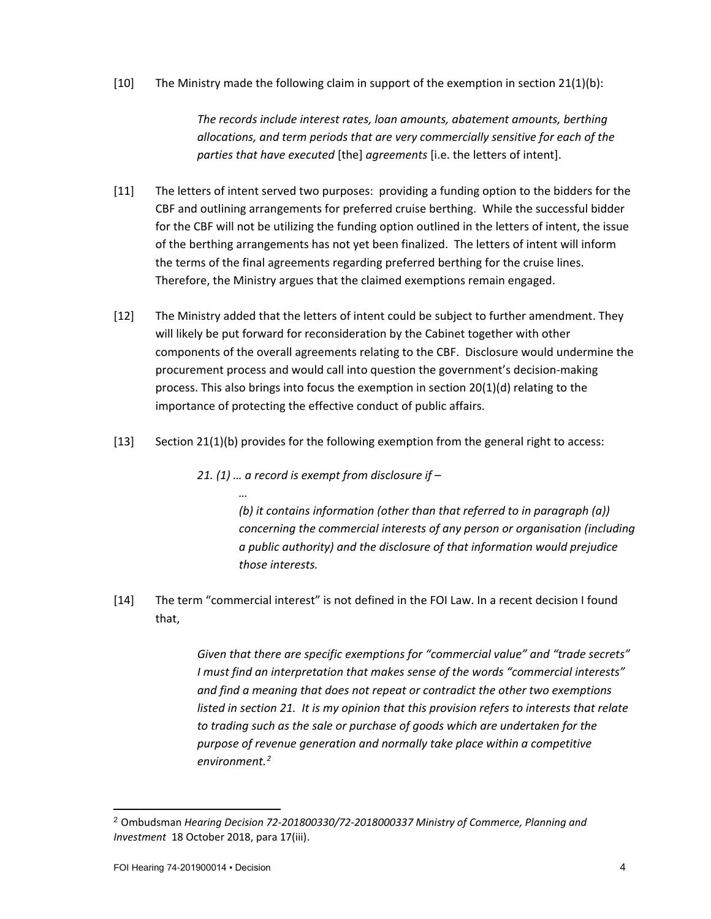[10] The Ministry made the following claim in support of the exemption in section 21(1)(b):

*The records include interest rates, loan amounts, abatement amounts, berthing allocations, and term periods that are very commercially sensitive for each of the parties that have executed* [the] *agreements* [i.e. the letters of intent].

- [11] The letters of intent served two purposes: providing a funding option to the bidders for the CBF and outlining arrangements for preferred cruise berthing. While the successful bidder for the CBF will not be utilizing the funding option outlined in the letters of intent, the issue of the berthing arrangements has not yet been finalized. The letters of intent will inform the terms of the final agreements regarding preferred berthing for the cruise lines. Therefore, the Ministry argues that the claimed exemptions remain engaged.
- [12] The Ministry added that the letters of intent could be subject to further amendment. They will likely be put forward for reconsideration by the Cabinet together with other components of the overall agreements relating to the CBF. Disclosure would undermine the procurement process and would call into question the government's decision-making process. This also brings into focus the exemption in section 20(1)(d) relating to the importance of protecting the effective conduct of public affairs.
- [13] Section 21(1)(b) provides for the following exemption from the general right to access:

*21. (1) … a record is exempt from disclosure if –*

*…*

*(b) it contains information (other than that referred to in paragraph (a)) concerning the commercial interests of any person or organisation (including a public authority) and the disclosure of that information would prejudice those interests.* 

[14] The term "commercial interest" is not defined in the FOI Law. In a recent decision I found that,

> *Given that there are specific exemptions for "commercial value" and "trade secrets" I must find an interpretation that makes sense of the words "commercial interests" and find a meaning that does not repeat or contradict the other two exemptions listed in section 21. It is my opinion that this provision refers to interests that relate to trading such as the sale or purchase of goods which are undertaken for the purpose of revenue generation and normally take place within a competitive environment.[2](#page-3-0)*

l

<span id="page-3-0"></span><sup>2</sup> Ombudsman *Hearing Decision 72-201800330/72-2018000337 Ministry of Commerce, Planning and Investment* 18 October 2018, para 17(iii).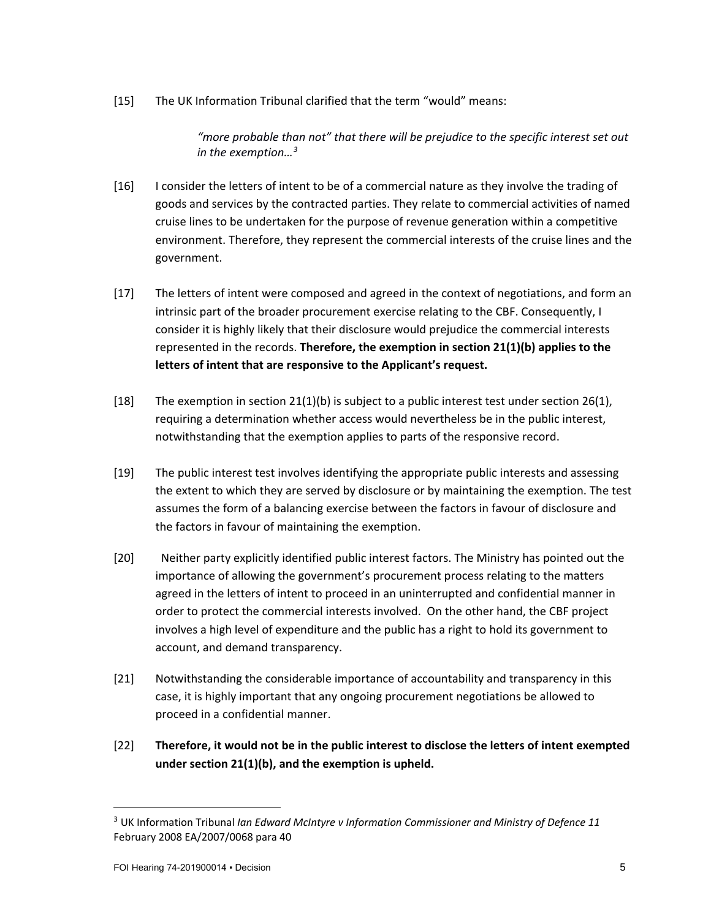[15] The UK Information Tribunal clarified that the term "would" means:

*"more probable than not" that there will be prejudice to the specific interest set out in the exemption…[3](#page-4-0)*

- [16] I consider the letters of intent to be of a commercial nature as they involve the trading of goods and services by the contracted parties. They relate to commercial activities of named cruise lines to be undertaken for the purpose of revenue generation within a competitive environment. Therefore, they represent the commercial interests of the cruise lines and the government.
- [17] The letters of intent were composed and agreed in the context of negotiations, and form an intrinsic part of the broader procurement exercise relating to the CBF. Consequently, I consider it is highly likely that their disclosure would prejudice the commercial interests represented in the records. **Therefore, the exemption in section 21(1)(b) applies to the letters of intent that are responsive to the Applicant's request.**
- [18] The exemption in section  $21(1)(b)$  is subject to a public interest test under section 26(1), requiring a determination whether access would nevertheless be in the public interest, notwithstanding that the exemption applies to parts of the responsive record.
- [19] The public interest test involves identifying the appropriate public interests and assessing the extent to which they are served by disclosure or by maintaining the exemption. The test assumes the form of a balancing exercise between the factors in favour of disclosure and the factors in favour of maintaining the exemption.
- [20] Neither party explicitly identified public interest factors. The Ministry has pointed out the importance of allowing the government's procurement process relating to the matters agreed in the letters of intent to proceed in an uninterrupted and confidential manner in order to protect the commercial interests involved. On the other hand, the CBF project involves a high level of expenditure and the public has a right to hold its government to account, and demand transparency.
- [21] Notwithstanding the considerable importance of accountability and transparency in this case, it is highly important that any ongoing procurement negotiations be allowed to proceed in a confidential manner.
- [22] **Therefore, it would not be in the public interest to disclose the letters of intent exempted under section 21(1)(b), and the exemption is upheld.**

<span id="page-4-0"></span> <sup>3</sup> UK Information Tribunal *Ian Edward McIntyre v Information Commissioner and Ministry of Defence 11* February 2008 EA/2007/0068 para 40